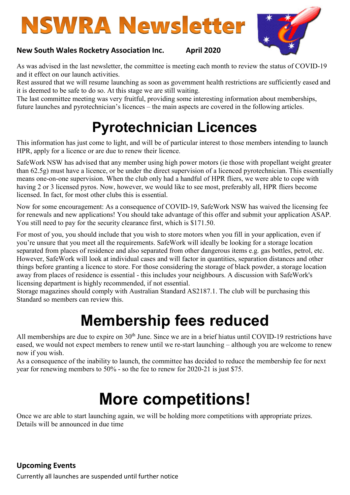# **NSWRA Newsletter**



#### New South Wales Rocketry Association Inc. April 2020

As was advised in the last newsletter, the committee is meeting each month to review the status of COVID-19 and it effect on our launch activities.

Rest assured that we will resume launching as soon as government health restrictions are sufficiently eased and it is deemed to be safe to do so. At this stage we are still waiting.

The last committee meeting was very fruitful, providing some interesting information about memberships, future launches and pyrotechnician's licences – the main aspects are covered in the following articles.

### Pyrotechnician Licences

This information has just come to light, and will be of particular interest to those members intending to launch HPR, apply for a licence or are due to renew their licence.

SafeWork NSW has advised that any member using high power motors (ie those with propellant weight greater than 62.5g) must have a licence, or be under the direct supervision of a licenced pyrotechnician. This essentially means one-on-one supervision. When the club only had a handful of HPR fliers, we were able to cope with having 2 or 3 licensed pyros. Now, however, we would like to see most, preferably all, HPR fliers become licensed. In fact, for most other clubs this is essential.

Now for some encouragement: As a consequence of COVID-19, SafeWork NSW has waived the licensing fee for renewals and new applications! You should take advantage of this offer and submit your application ASAP. You still need to pay for the security clearance first, which is \$171.50.

For most of you, you should include that you wish to store motors when you fill in your application, even if you're unsure that you meet all the requirements. SafeWork will ideally be looking for a storage location separated from places of residence and also separated from other dangerous items e.g. gas bottles, petrol, etc. However, SafeWork will look at individual cases and will factor in quantities, separation distances and other things before granting a licence to store. For those considering the storage of black powder, a storage location away from places of residence is essential - this includes your neighbours. A discussion with SafeWork's licensing department is highly recommended, if not essential.

Storage magazines should comply with Australian Standard AS2187.1. The club will be purchasing this Standard so members can review this.

### Membership fees reduced

All memberships are due to expire on 30<sup>th</sup> June. Since we are in a brief hiatus until COVID-19 restrictions have eased, we would not expect members to renew until we re-start launching – although you are welcome to renew now if you wish.

As a consequence of the inability to launch, the committee has decided to reduce the membership fee for next year for renewing members to 50% - so the fee to renew for 2020-21 is just \$75.

## More competitions!

Once we are able to start launching again, we will be holding more competitions with appropriate prizes. Details will be announced in due time

#### Upcoming Events

Currently all launches are suspended until further notice